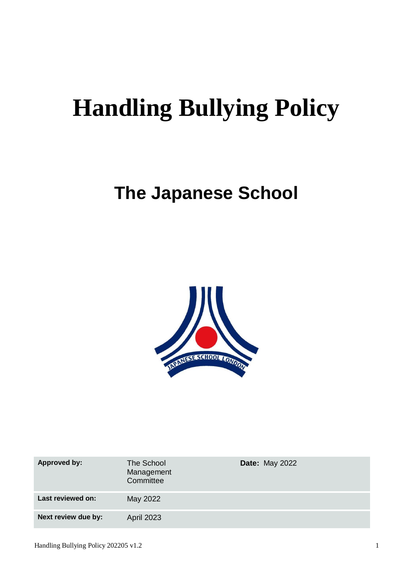# **Handling Bullying Policy**

# **The Japanese School**



| Approved by:        | The School<br>Management<br>Committee | <b>Date: May 2022</b> |
|---------------------|---------------------------------------|-----------------------|
| Last reviewed on:   | May 2022                              |                       |
| Next review due by: | <b>April 2023</b>                     |                       |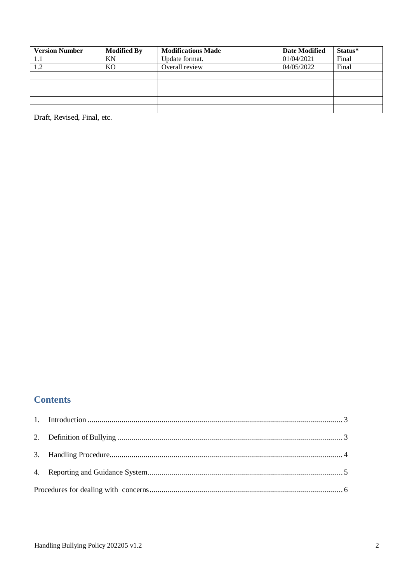| <b>Version Number</b> | <b>Modified By</b> | <b>Modifications Made</b> | <b>Date Modified</b> | Status* |
|-----------------------|--------------------|---------------------------|----------------------|---------|
| 1.1                   | ΚN                 | Update format.            | 01/04/2021           | Final   |
| 1.2                   | K <sub>O</sub>     | Overall review            | 04/05/2022           | Final   |
|                       |                    |                           |                      |         |
|                       |                    |                           |                      |         |
|                       |                    |                           |                      |         |
|                       |                    |                           |                      |         |
|                       |                    |                           |                      |         |

Draft, Revised, Final, etc.

## **Contents**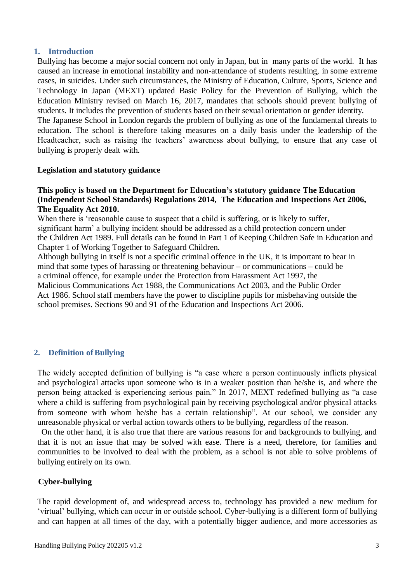#### <span id="page-2-0"></span>**1. Introduction**

Bullying has become a major social concern not only in Japan, but in many parts of the world. It has caused an increase in emotional instability and non-attendance of students resulting, in some extreme cases, in suicides. Under such circumstances, the Ministry of Education, Culture, Sports, Science and Technology in Japan (MEXT) updated [Basic Policy for the Prevention of Bullying,](http://www.mext.go.jp/component/a_menu/education/detail/__icsFiles/afieldfile/2017/03/22/1304156_02.pdf) which the Education Ministry revised on March 16, 2017, mandates that schools should prevent bullying of students. It includes the prevention of students based on their sexual orientation or gender identity. The Japanese School in London regards the problem of bullying as one of the fundamental threats to

education. The school is therefore taking measures on a daily basis under the leadership of the Headteacher, such as raising the teachers' awareness about bullying, to ensure that any case of bullying is properly dealt with.

#### **Legislation and statutory guidance**

#### **This policy is based on the Department for Education's statutory guidance The Education (Independent School Standards) Regulations 2014, The Education and Inspections Act 2006, The Equality Act 2010.**

When there is 'reasonable cause to suspect that a child is suffering, or is likely to suffer, significant harm' a bullying incident should be addressed as a child protection concern under the Children Act 1989. Full details can be found in Part 1 of Keeping Children Safe in Education and Chapter 1 of Working Together to Safeguard Children.

Although bullying in itself is not a specific criminal offence in the UK, it is important to bear in mind that some types of harassing or threatening behaviour – or communications – could be a criminal offence, for example under the Protection from Harassment Act 1997, the Malicious Communications Act 1988, the Communications Act 2003, and the Public Order Act 1986. School staff members have the power to discipline pupils for misbehaving outside the school premises. Sections 90 and 91 of the Education and Inspections Act 2006.

#### <span id="page-2-1"></span>**2. Definition ofBullying**

The widely accepted definition of bullying is "a case where a person continuously inflicts physical and psychological attacks upon someone who is in a weaker position than he/she is, and where the person being attacked is experiencing serious pain." In 2017, MEXT redefined bullying as "a case where a child is suffering from psychological pain by receiving psychological and/or physical attacks from someone with whom he/she has a certain relationship". At our school, we consider any unreasonable physical or verbal action towards others to be bullying, regardless of the reason.

On the other hand, it is also true that there are various reasons for and backgrounds to bullying, and that it is not an issue that may be solved with ease. There is a need, therefore, for families and communities to be involved to deal with the problem, as a school is not able to solve problems of bullying entirely on its own.

#### **Cyber-bullying**

The rapid development of, and widespread access to, technology has provided a new medium for 'virtual' bullying, which can occur in or outside school. Cyber-bullying is a different form of bullying and can happen at all times of the day, with a potentially bigger audience, and more accessories as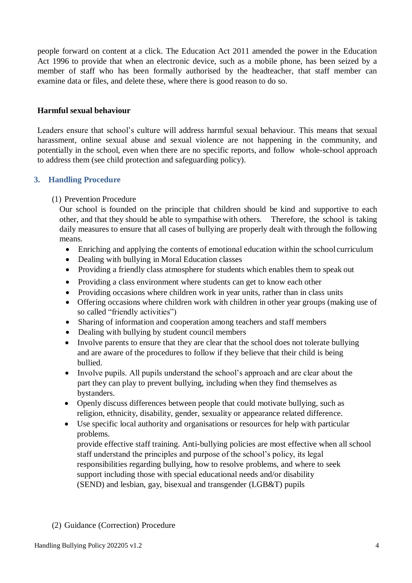people forward on content at a click. The Education Act 2011 amended the power in the Education Act 1996 to provide that when an electronic device, such as a mobile phone, has been seized by a member of staff who has been formally authorised by the headteacher, that staff member can examine data or files, and delete these, where there is good reason to do so.

#### **Harmful sexual behaviour**

Leaders ensure that school's culture will address harmful sexual behaviour. This means that sexual harassment, online sexual abuse and sexual violence are not happening in the community, and potentially in the school, even when there are no specific reports, and follow whole-school approach to address them (see child protection and safeguarding policy).

#### <span id="page-3-0"></span>**3. Handling Procedure**

#### (1) Prevention Procedure

Our school is founded on the principle that children should be kind and supportive to each other, and that they should be able to sympathise with others. Therefore, the school is taking daily measures to ensure that all cases of bullying are properly dealt with through the following means.

- Enriching and applying the contents of emotional education within the school curriculum
- Dealing with bullying in Moral Education classes
- Providing a friendly class atmosphere for students which enables them to speak out
- Providing a class environment where students can get to know each other
- Providing occasions where children work in year units, rather than in class units
- Offering occasions where children work with children in other year groups (making use of so called "friendly activities")
- Sharing of information and cooperation among teachers and staff members
- Dealing with bullying by student council members
- Involve parents to ensure that they are clear that the school does not tolerate bullying and are aware of the procedures to follow if they believe that their child is being bullied.
- Involve pupils. All pupils understand the school's approach and are clear about the part they can play to prevent bullying, including when they find themselves as bystanders.
- Openly discuss differences between people that could motivate bullying, such as religion, ethnicity, disability, gender, sexuality or appearance related difference.
- Use specific local authority and organisations or resources for help with particular problems.

provide effective staff training. Anti-bullying policies are most effective when all school staff understand the principles and purpose of the school's policy, its legal responsibilities regarding bullying, how to resolve problems, and where to seek support including those with special educational needs and/or disability (SEND) and lesbian, gay, bisexual and transgender (LGB&T) pupils

#### (2) Guidance (Correction) Procedure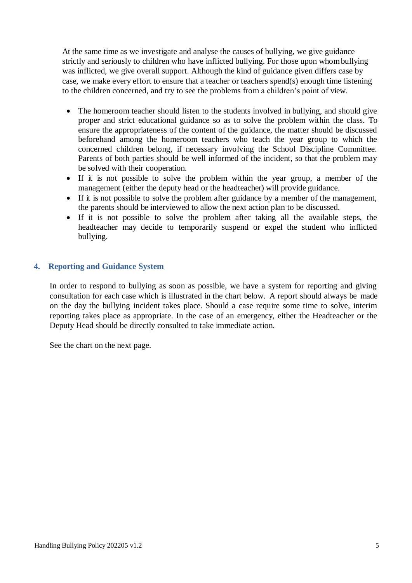At the same time as we investigate and analyse the causes of bullying, we give guidance strictly and seriously to children who have inflicted bullying. For those upon whombullying was inflicted, we give overall support. Although the kind of guidance given differs case by case, we make every effort to ensure that a teacher or teachers spend(s) enough time listening to the children concerned, and try to see the problems from a children's point of view.

- The homeroom teacher should listen to the students involved in bullying, and should give proper and strict educational guidance so as to solve the problem within the class. To ensure the appropriateness of the content of the guidance, the matter should be discussed beforehand among the homeroom teachers who teach the year group to which the concerned children belong, if necessary involving the School Discipline Committee. Parents of both parties should be well informed of the incident, so that the problem may be solved with their cooperation.
- If it is not possible to solve the problem within the year group, a member of the management (either the deputy head or the headteacher) will provide guidance.
- If it is not possible to solve the problem after guidance by a member of the management, the parents should be interviewed to allow the next action plan to be discussed.
- If it is not possible to solve the problem after taking all the available steps, the headteacher may decide to temporarily suspend or expel the student who inflicted bullying.

#### <span id="page-4-0"></span>**4. Reporting and Guidance System**

In order to respond to bullying as soon as possible, we have a system for reporting and giving consultation for each case which is illustrated in the chart below. A report should always be made on the day the bullying incident takes place. Should a case require some time to solve, interim reporting takes place as appropriate. In the case of an emergency, either the Headteacher or the Deputy Head should be directly consulted to take immediate action.

See the chart on the next page.